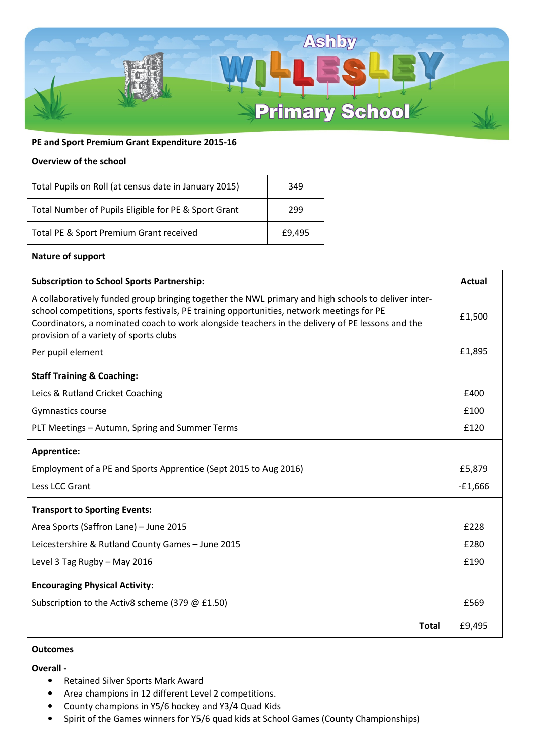

## **PE and Sport Premium Grant Expenditure 2015-16**

#### **Overview of the school**

| Total Pupils on Roll (at census date in January 2015) | 349    |
|-------------------------------------------------------|--------|
| Total Number of Pupils Eligible for PE & Sport Grant  | 299    |
| Total PE & Sport Premium Grant received               | £9.495 |

## **Nature of support**

| <b>Subscription to School Sports Partnership:</b>                                                                                                                                                                                                                                                                                              | <b>Actual</b> |
|------------------------------------------------------------------------------------------------------------------------------------------------------------------------------------------------------------------------------------------------------------------------------------------------------------------------------------------------|---------------|
| A collaboratively funded group bringing together the NWL primary and high schools to deliver inter-<br>school competitions, sports festivals, PE training opportunities, network meetings for PE<br>Coordinators, a nominated coach to work alongside teachers in the delivery of PE lessons and the<br>provision of a variety of sports clubs | £1,500        |
| Per pupil element                                                                                                                                                                                                                                                                                                                              | £1,895        |
| <b>Staff Training &amp; Coaching:</b>                                                                                                                                                                                                                                                                                                          |               |
| Leics & Rutland Cricket Coaching                                                                                                                                                                                                                                                                                                               | £400          |
| Gymnastics course                                                                                                                                                                                                                                                                                                                              | £100          |
| PLT Meetings - Autumn, Spring and Summer Terms                                                                                                                                                                                                                                                                                                 | £120          |
| Apprentice:                                                                                                                                                                                                                                                                                                                                    |               |
| Employment of a PE and Sports Apprentice (Sept 2015 to Aug 2016)                                                                                                                                                                                                                                                                               | £5,879        |
| Less LCC Grant                                                                                                                                                                                                                                                                                                                                 | $-£1,666$     |
| <b>Transport to Sporting Events:</b>                                                                                                                                                                                                                                                                                                           |               |
| Area Sports (Saffron Lane) - June 2015                                                                                                                                                                                                                                                                                                         | £228          |
| Leicestershire & Rutland County Games - June 2015                                                                                                                                                                                                                                                                                              | £280          |
| Level 3 Tag Rugby - May 2016                                                                                                                                                                                                                                                                                                                   | £190          |
| <b>Encouraging Physical Activity:</b>                                                                                                                                                                                                                                                                                                          |               |
| Subscription to the Activ8 scheme (379 @ £1.50)                                                                                                                                                                                                                                                                                                | £569          |
| <b>Total</b>                                                                                                                                                                                                                                                                                                                                   | £9,495        |

## **Outcomes**

### **Overall -**

- Retained Silver Sports Mark Award
- Area champions in 12 different Level 2 competitions.
- County champions in Y5/6 hockey and Y3/4 Quad Kids
- Spirit of the Games winners for Y5/6 quad kids at School Games (County Championships)